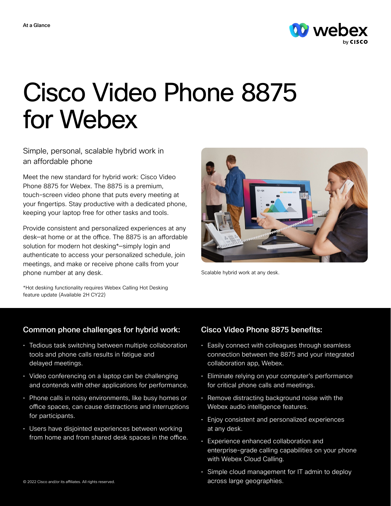

# Cisco Video Phone 8875 for Webex

Simple, personal, scalable hybrid work in an affordable phone

Meet the new standard for hybrid work: Cisco Video Phone 8875 for Webex. The 8875 is a premium, touch-screen video phone that puts every meeting at your fingertips. Stay productive with a dedicated phone, keeping your laptop free for other tasks and tools.

Provide consistent and personalized experiences at any desk—at home or at the office. The 8875 is an affordable solution for modern hot desking\*—simply login and authenticate to access your personalized schedule, join meetings, and make or receive phone calls from your phone number at any desk.

Scalable hybrid work at any desk.

\*Hot desking functionality requires Webex Calling Hot Desking feature update (Available 2H CY22)

# Common phone challenges for hybrid work:

- Tedious task switching between multiple collaboration tools and phone calls results in fatigue and delayed meetings.
- Video conferencing on a laptop can be challenging and contends with other applications for performance.
- Phone calls in noisy environments, like busy homes or office spaces, can cause distractions and interruptions for participants.
- Users have disjointed experiences between working from home and from shared desk spaces in the office.

# Cisco Video Phone 8875 benefits:

- Easily connect with colleagues through seamless connection between the 8875 and your integrated collaboration app, Webex.
- Eliminate relying on your computer's performance for critical phone calls and meetings.
- Remove distracting background noise with the Webex audio intelligence features.
- Enjoy consistent and personalized experiences at any desk.
- Experience enhanced collaboration and enterprise-grade calling capabilities on your phone with Webex Cloud Calling.
- Simple cloud management for IT admin to deploy across large geographies.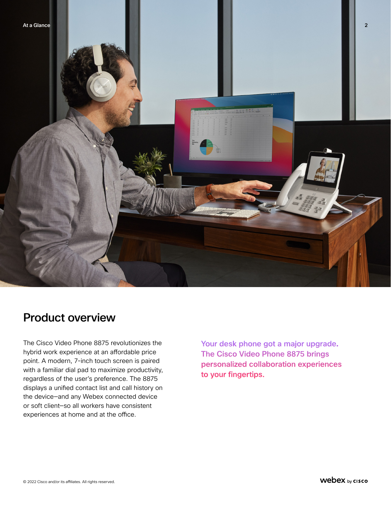

# Product overview

The Cisco Video Phone 8875 revolutionizes the hybrid work experience at an affordable price point. A modern, 7-inch touch screen is paired with a familiar dial pad to maximize productivity, regardless of the user's preference. The 8875 displays a unified contact list and call history on the device—and any Webex connected device or soft client—so all workers have consistent experiences at home and at the office.

Your desk phone got a major upgrade. The Cisco Video Phone 8875 brings personalized collaboration experiences to your fingertips.